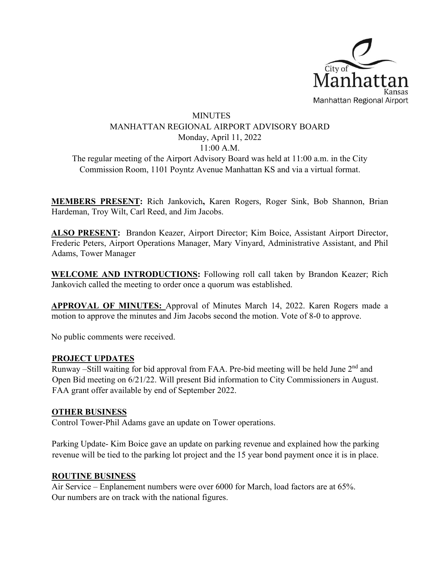

## MINUTES MANHATTAN REGIONAL AIRPORT ADVISORY BOARD Monday, April 11, 2022 11:00 A.M.

The regular meeting of the Airport Advisory Board was held at 11:00 a.m. in the City Commission Room, 1101 Poyntz Avenue Manhattan KS and via a virtual format.

**MEMBERS PRESENT:** Rich Jankovich**,** Karen Rogers, Roger Sink, Bob Shannon, Brian Hardeman, Troy Wilt, Carl Reed, and Jim Jacobs.

**ALSO PRESENT:** Brandon Keazer, Airport Director; Kim Boice, Assistant Airport Director, Frederic Peters, Airport Operations Manager, Mary Vinyard, Administrative Assistant, and Phil Adams, Tower Manager

**WELCOME AND INTRODUCTIONS:** Following roll call taken by Brandon Keazer; Rich Jankovich called the meeting to order once a quorum was established.

**APPROVAL OF MINUTES:** Approval of Minutes March 14, 2022. Karen Rogers made a motion to approve the minutes and Jim Jacobs second the motion. Vote of 8-0 to approve.

No public comments were received.

## **PROJECT UPDATES**

Runway –Still waiting for bid approval from FAA. Pre-bid meeting will be held June 2<sup>nd</sup> and Open Bid meeting on 6/21/22. Will present Bid information to City Commissioners in August. FAA grant offer available by end of September 2022.

## **OTHER BUSINESS**

Control Tower-Phil Adams gave an update on Tower operations.

Parking Update- Kim Boice gave an update on parking revenue and explained how the parking revenue will be tied to the parking lot project and the 15 year bond payment once it is in place.

## **ROUTINE BUSINESS**

Air Service – Enplanement numbers were over 6000 for March, load factors are at 65%. Our numbers are on track with the national figures.